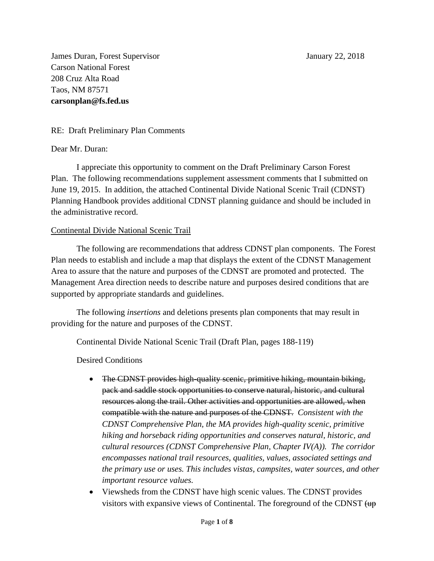James Duran, Forest Supervisor January 22, 2018 Carson National Forest 208 Cruz Alta Road Taos, NM 87571 **carsonplan@fs.fed.us**

RE: Draft Preliminary Plan Comments

#### Dear Mr. Duran:

I appreciate this opportunity to comment on the Draft Preliminary Carson Forest Plan. The following recommendations supplement assessment comments that I submitted on June 19, 2015. In addition, the attached Continental Divide National Scenic Trail (CDNST) Planning Handbook provides additional CDNST planning guidance and should be included in the administrative record.

### Continental Divide National Scenic Trail

The following are recommendations that address CDNST plan components. The Forest Plan needs to establish and include a map that displays the extent of the CDNST Management Area to assure that the nature and purposes of the CDNST are promoted and protected. The Management Area direction needs to describe nature and purposes desired conditions that are supported by appropriate standards and guidelines.

The following *insertions* and deletions presents plan components that may result in providing for the nature and purposes of the CDNST.

Continental Divide National Scenic Trail (Draft Plan, pages 188-119)

Desired Conditions

- The CDNST provides high-quality scenic, primitive hiking, mountain biking, pack and saddle stock opportunities to conserve natural, historic, and cultural resources along the trail. Other activities and opportunities are allowed, when compatible with the nature and purposes of the CDNST. *Consistent with the CDNST Comprehensive Plan, the MA provides high-quality scenic, primitive hiking and horseback riding opportunities and conserves natural, historic, and cultural resources (CDNST Comprehensive Plan, Chapter IV(A)). The corridor encompasses national trail resources, qualities, values, associated settings and the primary use or uses. This includes vistas, campsites, water sources, and other important resource values.*
- Viewsheds from the CDNST have high scenic values. The CDNST provides visitors with expansive views of Continental. The foreground of the CDNST  $\left(\frac{up}{up}\right)$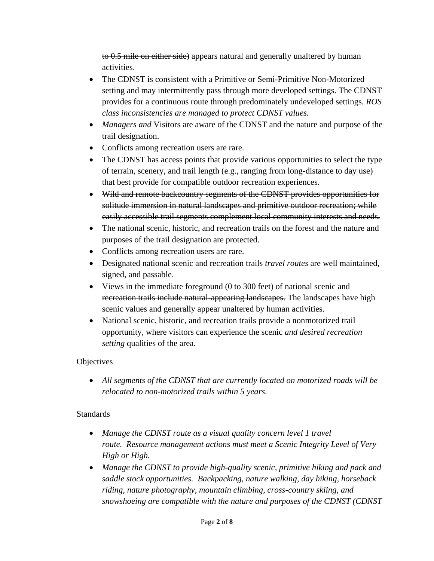to 0.5 mile on either side) appears natural and generally unaltered by human activities.

- The CDNST is consistent with a Primitive or Semi-Primitive Non-Motorized setting and may intermittently pass through more developed settings. The CDNST provides for a continuous route through predominately undeveloped settings*. ROS class inconsistencies are managed to protect CDNST values.*
- *Managers and* Visitors are aware of the CDNST and the nature and purpose of the trail designation.
- Conflicts among recreation users are rare.
- The CDNST has access points that provide various opportunities to select the type of terrain, scenery, and trail length (e.g., ranging from long-distance to day use) that best provide for compatible outdoor recreation experiences.
- Wild and remote backcountry segments of the CDNST provides opportunities for solitude immersion in natural landscapes and primitive outdoor recreation; while easily accessible trail segments complement local community interests and needs.
- The national scenic, historic, and recreation trails on the forest and the nature and purposes of the trail designation are protected.
- Conflicts among recreation users are rare.
- Designated national scenic and recreation trails *travel routes* are well maintained, signed, and passable.
- Views in the immediate foreground (0 to 300 feet) of national scenic and recreation trails include natural-appearing landscapes. The landscapes have high scenic values and generally appear unaltered by human activities.
- National scenic, historic, and recreation trails provide a nonmotorized trail opportunity, where visitors can experience the scenic *and desired recreation setting* qualities of the area.

## **Objectives**

 *All segments of the CDNST that are currently located on motorized roads will be relocated to non-motorized trails within 5 years.*

## Standards

- *Manage the CDNST route as a visual quality concern level 1 travel route. Resource management actions must meet a Scenic Integrity Level of Very High or High.*
- *Manage the CDNST to provide high-quality scenic, primitive hiking and pack and saddle stock opportunities. Backpacking, nature walking, day hiking, horseback riding, nature photography, mountain climbing, cross-country skiing, and snowshoeing are compatible with the nature and purposes of the CDNST (CDNST*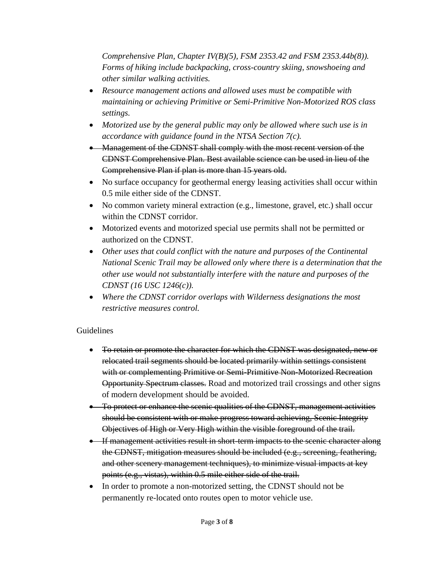*Comprehensive Plan, Chapter IV(B)(5), FSM 2353.42 and FSM 2353.44b(8)). Forms of hiking include backpacking, cross-country skiing, snowshoeing and other similar walking activities.*

- *Resource management actions and allowed uses must be compatible with maintaining or achieving Primitive or Semi-Primitive Non-Motorized ROS class settings.*
- *Motorized use by the general public may only be allowed where such use is in accordance with guidance found in the NTSA Section 7(c).*
- Management of the CDNST shall comply with the most recent version of the CDNST Comprehensive Plan. Best available science can be used in lieu of the Comprehensive Plan if plan is more than 15 years old.
- No surface occupancy for geothermal energy leasing activities shall occur within 0.5 mile either side of the CDNST.
- No common variety mineral extraction (e.g., limestone, gravel, etc.) shall occur within the CDNST corridor.
- Motorized events and motorized special use permits shall not be permitted or authorized on the CDNST.
- *Other uses that could conflict with the nature and purposes of the Continental National Scenic Trail may be allowed only where there is a determination that the other use would not substantially interfere with the nature and purposes of the CDNST (16 USC 1246(c)).*
- *Where the CDNST corridor overlaps with Wilderness designations the most restrictive measures control.*

# Guidelines

- To retain or promote the character for which the CDNST was designated, new or relocated trail segments should be located primarily within settings consistent with or complementing Primitive or Semi-Primitive Non-Motorized Recreation Opportunity Spectrum classes. Road and motorized trail crossings and other signs of modern development should be avoided.
- To protect or enhance the scenic qualities of the CDNST, management activities should be consistent with or make progress toward achieving, Scenic Integrity Objectives of High or Very High within the visible foreground of the trail.
- **If management activities result in short-term impacts to the scenic character along** the CDNST, mitigation measures should be included (e.g., screening, feathering, and other scenery management techniques), to minimize visual impacts at key points (e.g., vistas), within 0.5 mile either side of the trail.
- In order to promote a non-motorized setting, the CDNST should not be permanently re-located onto routes open to motor vehicle use.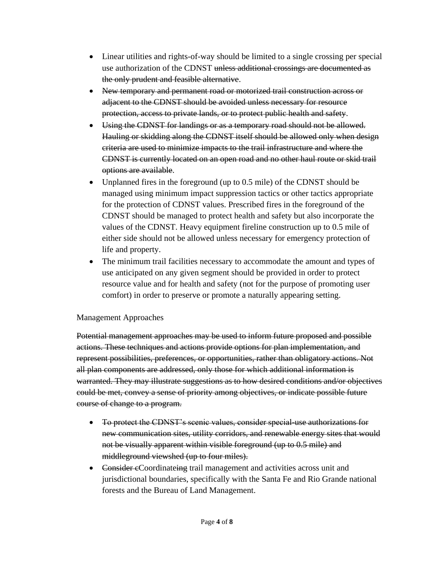- Linear utilities and rights-of-way should be limited to a single crossing per special use authorization of the CDNST unless additional crossings are documented as the only prudent and feasible alternative.
- New temporary and permanent road or motorized trail construction across or adjacent to the CDNST should be avoided unless necessary for resource protection, access to private lands, or to protect public health and safety.
- Using the CDNST for landings or as a temporary road should not be allowed. Hauling or skidding along the CDNST itself should be allowed only when design criteria are used to minimize impacts to the trail infrastructure and where the CDNST is currently located on an open road and no other haul route or skid trail options are available.
- Unplanned fires in the foreground (up to 0.5 mile) of the CDNST should be managed using minimum impact suppression tactics or other tactics appropriate for the protection of CDNST values. Prescribed fires in the foreground of the CDNST should be managed to protect health and safety but also incorporate the values of the CDNST. Heavy equipment fireline construction up to 0.5 mile of either side should not be allowed unless necessary for emergency protection of life and property.
- The minimum trail facilities necessary to accommodate the amount and types of use anticipated on any given segment should be provided in order to protect resource value and for health and safety (not for the purpose of promoting user comfort) in order to preserve or promote a naturally appearing setting.

## Management Approaches

Potential management approaches may be used to inform future proposed and possible actions. These techniques and actions provide options for plan implementation, and represent possibilities, preferences, or opportunities, rather than obligatory actions. Not all plan components are addressed, only those for which additional information is warranted. They may illustrate suggestions as to how desired conditions and/or objectives could be met, convey a sense of priority among objectives, or indicate possible future course of change to a program.

- To protect the CDNST's scenic values, consider special-use authorizations for new communication sites, utility corridors, and renewable energy sites that would not be visually apparent within visible foreground (up to 0.5 mile) and middleground viewshed (up to four miles).
- Consider eCoordinateing trail management and activities across unit and jurisdictional boundaries, specifically with the Santa Fe and Rio Grande national forests and the Bureau of Land Management.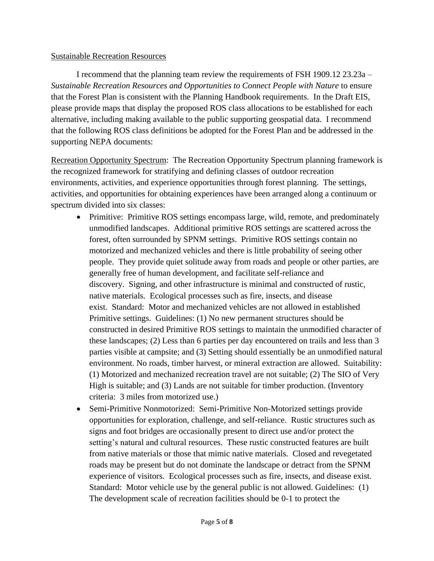#### Sustainable Recreation Resources

I recommend that the planning team review the requirements of FSH 1909.12 23.23a – *Sustainable Recreation Resources and Opportunities to Connect People with Nature* to ensure that the Forest Plan is consistent with the Planning Handbook requirements. In the Draft EIS, please provide maps that display the proposed ROS class allocations to be established for each alternative, including making available to the public supporting geospatial data. I recommend that the following ROS class definitions be adopted for the Forest Plan and be addressed in the supporting NEPA documents:

Recreation Opportunity Spectrum: The Recreation Opportunity Spectrum planning framework is the recognized framework for stratifying and defining classes of outdoor recreation environments, activities, and experience opportunities through forest planning. The settings, activities, and opportunities for obtaining experiences have been arranged along a continuum or spectrum divided into six classes:

- Primitive: Primitive ROS settings encompass large, wild, remote, and predominately unmodified landscapes. Additional primitive ROS settings are scattered across the forest, often surrounded by SPNM settings. Primitive ROS settings contain no motorized and mechanized vehicles and there is little probability of seeing other people. They provide quiet solitude away from roads and people or other parties, are generally free of human development, and facilitate self-reliance and discovery. Signing, and other infrastructure is minimal and constructed of rustic, native materials. Ecological processes such as fire, insects, and disease exist. Standard: Motor and mechanized vehicles are not allowed in established Primitive settings. Guidelines: (1) No new permanent structures should be constructed in desired Primitive ROS settings to maintain the unmodified character of these landscapes; (2) Less than 6 parties per day encountered on trails and less than 3 parties visible at campsite; and (3) Setting should essentially be an unmodified natural environment. No roads, timber harvest, or mineral extraction are allowed. Suitability: (1) Motorized and mechanized recreation travel are not suitable; (2) The SIO of Very High is suitable; and (3) Lands are not suitable for timber production. (Inventory criteria: 3 miles from motorized use.)
- Semi-Primitive Nonmotorized: Semi-Primitive Non-Motorized settings provide opportunities for exploration, challenge, and self-reliance. Rustic structures such as signs and foot bridges are occasionally present to direct use and/or protect the setting's natural and cultural resources. These rustic constructed features are built from native materials or those that mimic native materials. Closed and revegetated roads may be present but do not dominate the landscape or detract from the SPNM experience of visitors. Ecological processes such as fire, insects, and disease exist. Standard: Motor vehicle use by the general public is not allowed. Guidelines: (1) The development scale of recreation facilities should be 0-1 to protect the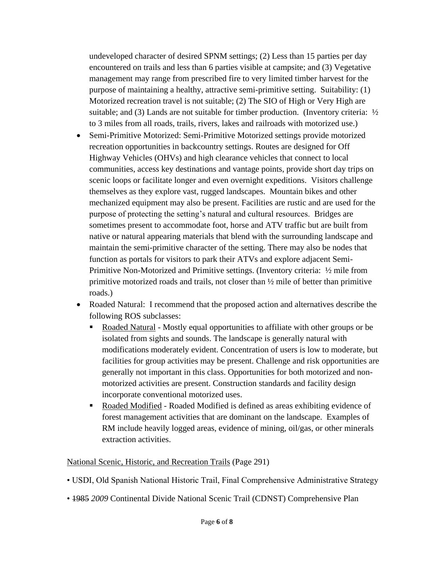undeveloped character of desired SPNM settings; (2) Less than 15 parties per day encountered on trails and less than 6 parties visible at campsite; and (3) Vegetative management may range from prescribed fire to very limited timber harvest for the purpose of maintaining a healthy, attractive semi-primitive setting. Suitability: (1) Motorized recreation travel is not suitable; (2) The SIO of High or Very High are suitable; and (3) Lands are not suitable for timber production. (Inventory criteria:  $\frac{1}{2}$ to 3 miles from all roads, trails, rivers, lakes and railroads with motorized use.)

- Semi-Primitive Motorized: Semi-Primitive Motorized settings provide motorized recreation opportunities in backcountry settings. Routes are designed for Off Highway Vehicles (OHVs) and high clearance vehicles that connect to local communities, access key destinations and vantage points, provide short day trips on scenic loops or facilitate longer and even overnight expeditions. Visitors challenge themselves as they explore vast, rugged landscapes. Mountain bikes and other mechanized equipment may also be present. Facilities are rustic and are used for the purpose of protecting the setting's natural and cultural resources. Bridges are sometimes present to accommodate foot, horse and ATV traffic but are built from native or natural appearing materials that blend with the surrounding landscape and maintain the semi-primitive character of the setting. There may also be nodes that function as portals for visitors to park their ATVs and explore adjacent Semi-Primitive Non-Motorized and Primitive settings. (Inventory criteria: ½ mile from primitive motorized roads and trails, not closer than ½ mile of better than primitive roads.)
- Roaded Natural: I recommend that the proposed action and alternatives describe the following ROS subclasses:
	- Roaded Natural Mostly equal opportunities to affiliate with other groups or be isolated from sights and sounds. The landscape is generally natural with modifications moderately evident. Concentration of users is low to moderate, but facilities for group activities may be present. Challenge and risk opportunities are generally not important in this class. Opportunities for both motorized and nonmotorized activities are present. Construction standards and facility design incorporate conventional motorized uses.
	- Roaded Modified Roaded Modified is defined as areas exhibiting evidence of forest management activities that are dominant on the landscape. Examples of RM include heavily logged areas, evidence of mining, oil/gas, or other minerals extraction activities.

#### National Scenic, Historic, and Recreation Trails (Page 291)

- USDI, Old Spanish National Historic Trail, Final Comprehensive Administrative Strategy
- 1985 *2009* Continental Divide National Scenic Trail (CDNST) Comprehensive Plan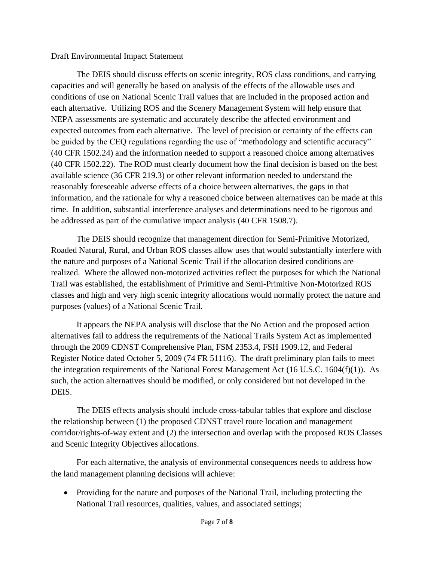#### Draft Environmental Impact Statement

The DEIS should discuss effects on scenic integrity, ROS class conditions, and carrying capacities and will generally be based on analysis of the effects of the allowable uses and conditions of use on National Scenic Trail values that are included in the proposed action and each alternative. Utilizing ROS and the Scenery Management System will help ensure that NEPA assessments are systematic and accurately describe the affected environment and expected outcomes from each alternative. The level of precision or certainty of the effects can be guided by the CEQ regulations regarding the use of "methodology and scientific accuracy" (40 CFR 1502.24) and the information needed to support a reasoned choice among alternatives (40 CFR 1502.22). The ROD must clearly document how the final decision is based on the best available science (36 CFR 219.3) or other relevant information needed to understand the reasonably foreseeable adverse effects of a choice between alternatives, the gaps in that information, and the rationale for why a reasoned choice between alternatives can be made at this time. In addition, substantial interference analyses and determinations need to be rigorous and be addressed as part of the cumulative impact analysis (40 CFR 1508.7).

The DEIS should recognize that management direction for Semi-Primitive Motorized, Roaded Natural, Rural, and Urban ROS classes allow uses that would substantially interfere with the nature and purposes of a National Scenic Trail if the allocation desired conditions are realized. Where the allowed non-motorized activities reflect the purposes for which the National Trail was established, the establishment of Primitive and Semi-Primitive Non-Motorized ROS classes and high and very high scenic integrity allocations would normally protect the nature and purposes (values) of a National Scenic Trail.

It appears the NEPA analysis will disclose that the No Action and the proposed action alternatives fail to address the requirements of the National Trails System Act as implemented through the 2009 CDNST Comprehensive Plan, FSM 2353.4, FSH 1909.12, and Federal Register Notice dated October 5, 2009 (74 FR 51116). The draft preliminary plan fails to meet the integration requirements of the National Forest Management Act (16 U.S.C. 1604(f)(1)). As such, the action alternatives should be modified, or only considered but not developed in the DEIS.

The DEIS effects analysis should include cross-tabular tables that explore and disclose the relationship between (1) the proposed CDNST travel route location and management corridor/rights-of-way extent and (2) the intersection and overlap with the proposed ROS Classes and Scenic Integrity Objectives allocations.

For each alternative, the analysis of environmental consequences needs to address how the land management planning decisions will achieve:

• Providing for the nature and purposes of the National Trail, including protecting the National Trail resources, qualities, values, and associated settings;